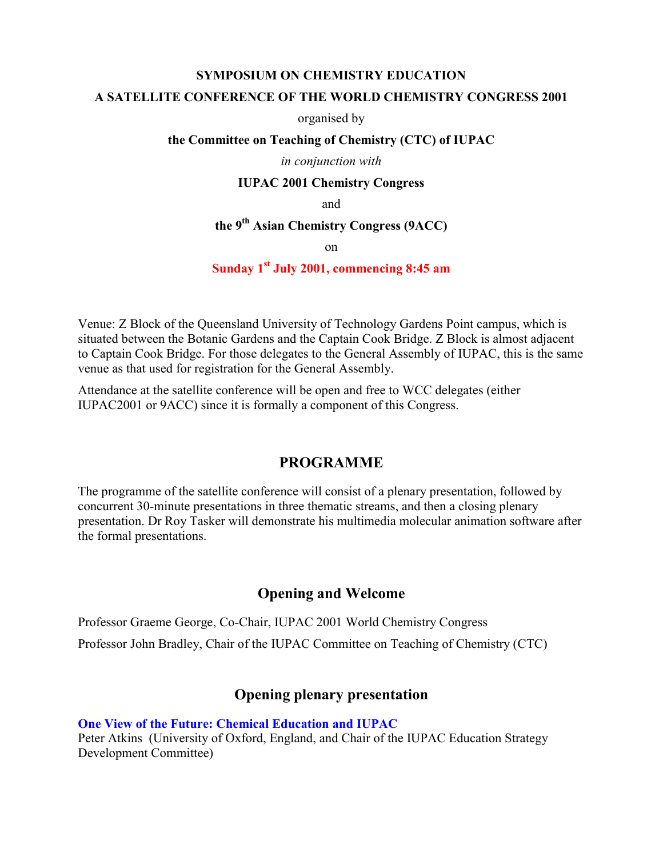#### **SYMPOSIUM ON CHEMISTRY EDUCATION**

#### **A SATELLITE CONFERENCE OF THE WORLD CHEMISTRY CONGRESS 2001**

organised by

#### **the Committee on Teaching of Chemistry (CTC) of IUPAC**

#### *in conjunction with*

#### **IUPAC 2001 Chemistry Congress**

and

# **the 9th Asian Chemistry Congress (9ACC)**

on

#### **Sunday 1st July 2001, commencing 8:45 am**

Venue: Z Block of the Queensland University of Technology Gardens Point campus, which is situated between the Botanic Gardens and the Captain Cook Bridge. Z Block is almost adjacent to Captain Cook Bridge. For those delegates to the General Assembly of IUPAC, this is the same venue as that used for registration for the General Assembly.

Attendance at the satellite conference will be open and free to WCC delegates (either IUPAC2001 or 9ACC) since it is formally a component of this Congress.

### **PROGRAMME**

The programme of the satellite conference will consist of a plenary presentation, followed by concurrent 30-minute presentations in three thematic streams, and then a closing plenary presentation. Dr Roy Tasker will demonstrate his multimedia molecular animation software after the formal presentations.

## **Opening and Welcome**

Professor Graeme George, Co-Chair, IUPAC 2001 World Chemistry Congress Professor John Bradley, Chair of the IUPAC Committee on Teaching of Chemistry (CTC)

## **Opening plenary presentation**

**One View of the Future: Chemical Education and IUPAC**

Peter Atkins (University of Oxford, England, and Chair of the IUPAC Education Strategy Development Committee)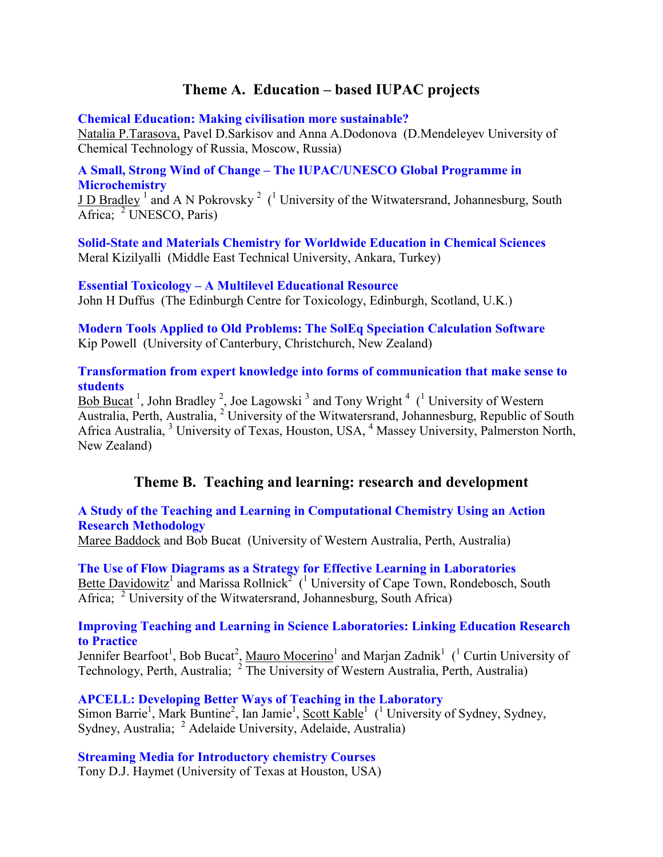# **Theme A. Education – based IUPAC projects**

**Chemical Education: Making civilisation more sustainable?**

Natalia P.Tarasova, Pavel D.Sarkisov and Anna A.Dodonova (D.Mendeleyev University of Chemical Technology of Russia, Moscow, Russia)

### **A Small, Strong Wind of Change – The IUPAC/UNESCO Global Programme in Microchemistry**

**J D Bradley**<sup>1</sup> and A N Pokrovsky<sup>2</sup> (<sup>1</sup> University of the Witwatersrand, Johannesburg, South Africa; <sup>2</sup> UNESCO, Paris)

**Solid-State and Materials Chemistry for Worldwide Education in Chemical Sciences** Meral Kizilyalli (Middle East Technical University, Ankara, Turkey)

**Essential Toxicology – A Multilevel Educational Resource** John H Duffus (The Edinburgh Centre for Toxicology, Edinburgh, Scotland, U.K.)

**Modern Tools Applied to Old Problems: The SolEq Speciation Calculation Software** Kip Powell (University of Canterbury, Christchurch, New Zealand)

### **Transformation from expert knowledge into forms of communication that make sense to students**

Bob Bucat<sup>1</sup>, John Bradley<sup>2</sup>, Joe Lagowski<sup>3</sup> and Tony Wright<sup>4</sup> (<sup>1</sup> University of Western Australia, Perth, Australia, <sup>2</sup> University of the Witwatersrand, Johannesburg, Republic of South Africa Australia, <sup>3</sup> University of Texas, Houston, USA, <sup>4</sup> Massey University, Palmerston North, New Zealand)

## **Theme B. Teaching and learning: research and development**

### **A Study of the Teaching and Learning in Computational Chemistry Using an Action Research Methodology**

Maree Baddock and Bob Bucat (University of Western Australia, Perth, Australia)

**The Use of Flow Diagrams as a Strategy for Effective Learning in Laboratories** Bette Davidowitz<sup>1</sup> and Marissa Rollnick<sup>2</sup><sup> $\chi$ </sup> (<sup>1</sup> University of Cape Town, Rondebosch, South Africa; <sup>2</sup> University of the Witwatersrand, Johannesburg, South Africa)

#### **Improving Teaching and Learning in Science Laboratories: Linking Education Research to Practice**

Jennifer Bearfoot<sup>1</sup>, Bob Bucat<sup>2</sup>, Mauro Mocerino<sup>1</sup> and Marjan Zadnik<sup>1</sup> (<sup>1</sup> Curtin University of Technology, Perth, Australia;  $2 \overline{The University of Western Australia, Perth, Australia$ 

**APCELL: Developing Better Ways of Teaching in the Laboratory** Simon Barrie<sup>1</sup>, Mark Buntine<sup>2</sup>, Ian Jamie<sup>1</sup>, Scott Kable<sup>1</sup> (<sup>1</sup> University of Sydney, Sydney, Sydney, Australia; <sup>2</sup> Adelaide University, Adelaide, Australia)

**Streaming Media for Introductory chemistry Courses**

Tony D.J. Haymet (University of Texas at Houston, USA)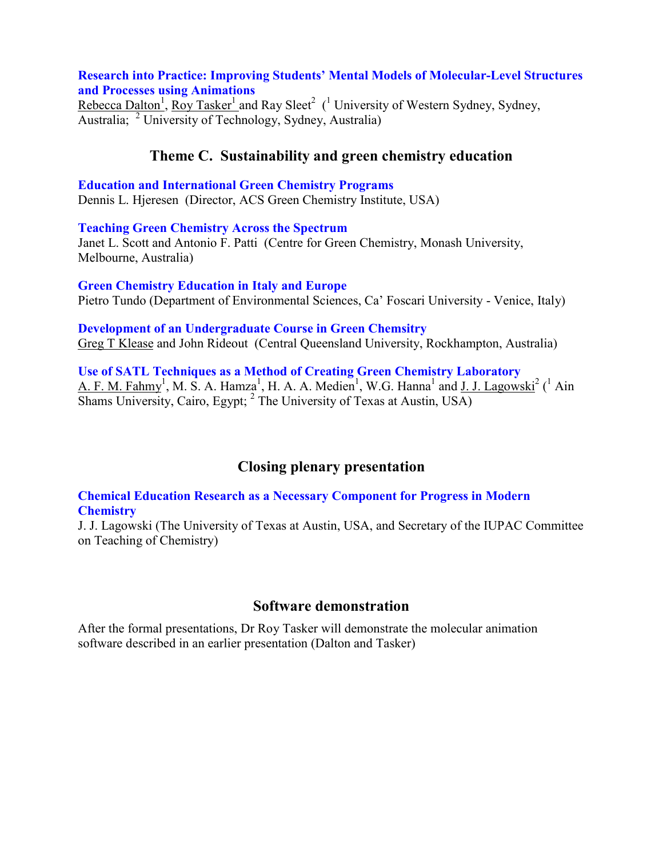### **Research into Practice: Improving Students' Mental Models of Molecular-Level Structures and Processes using Animations**

Rebecca Dalton<sup>1</sup>, Roy Tasker<sup>1</sup> and Ray Sleet<sup>2</sup> (<sup>1</sup> University of Western Sydney, Sydney, Australia; <sup>2</sup> University of Technology, Sydney, Australia)

## **Theme C. Sustainability and green chemistry education**

**Education and International Green Chemistry Programs** Dennis L. Hjeresen (Director, ACS Green Chemistry Institute, USA)

**Teaching Green Chemistry Across the Spectrum** Janet L. Scott and Antonio F. Patti (Centre for Green Chemistry, Monash University, Melbourne, Australia)

**Green Chemistry Education in Italy and Europe** Pietro Tundo (Department of Environmental Sciences, Ca' Foscari University - Venice, Italy)

**Development of an Undergraduate Course in Green Chemsitry** Greg T Klease and John Rideout (Central Queensland University, Rockhampton, Australia)

**Use of SATL Techniques as a Method of Creating Green Chemistry Laboratory** A. F. M. Fahmy<sup>1</sup>, M. S. A. Hamza<sup>1</sup>, H. A. A. Medien<sup>1</sup>, W.G. Hanna<sup>1</sup> and J. J. Lagowski<sup>2</sup> (<sup>1</sup> Ain Shams University, Cairo, Egypt;  $^2$  The University of Texas at Austin, USA)

# **Closing plenary presentation**

**Chemical Education Research as a Necessary Component for Progress in Modern Chemistry**

J. J. Lagowski (The University of Texas at Austin, USA, and Secretary of the IUPAC Committee on Teaching of Chemistry)

## **Software demonstration**

After the formal presentations, Dr Roy Tasker will demonstrate the molecular animation software described in an earlier presentation (Dalton and Tasker)